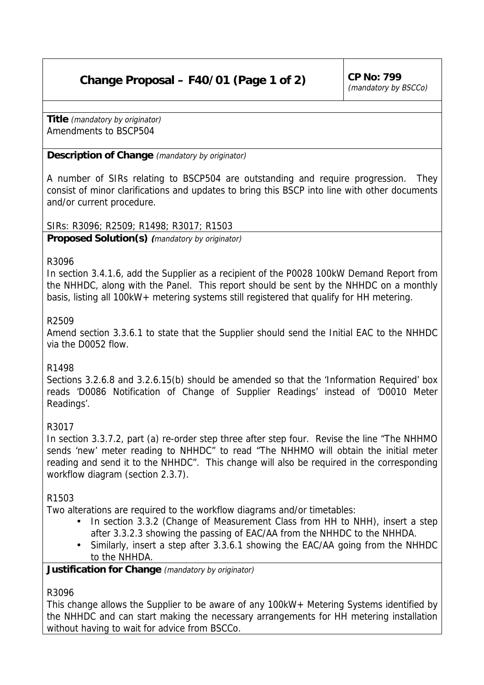# **Change Proposal – F40/01 (Page 1 of 2)** CP No: 799

**Title** (mandatory by originator) Amendments to BSCP504

## **Description of Change** (mandatory by originator)

A number of SIRs relating to BSCP504 are outstanding and require progression. They consist of minor clarifications and updates to bring this BSCP into line with other documents and/or current procedure.

SIRs: R3096; R2509; R1498; R3017; R1503

**Proposed Solution(s) (**mandatory by originator)

#### R3096

In section 3.4.1.6, add the Supplier as a recipient of the P0028 100kW Demand Report from the NHHDC, along with the Panel. This report should be sent by the NHHDC on a monthly basis, listing all 100kW+ metering systems still registered that qualify for HH metering.

#### R2509

Amend section 3.3.6.1 to state that the Supplier should send the Initial EAC to the NHHDC via the D0052 flow.

## R1498

Sections 3.2.6.8 and 3.2.6.15(b) should be amended so that the 'Information Required' box reads 'D0086 Notification of Change of Supplier Readings' instead of 'D0010 Meter Readings'.

## R3017

In section 3.3.7.2, part (a) re-order step three after step four. Revise the line "The NHHMO sends 'new' meter reading to NHHDC" to read "The NHHMO will obtain the initial meter reading and send it to the NHHDC". This change will also be required in the corresponding workflow diagram (section 2.3.7).

## R1503

Two alterations are required to the workflow diagrams and/or timetables:

- In section 3.3.2 (Change of Measurement Class from HH to NHH), insert a step after 3.3.2.3 showing the passing of EAC/AA from the NHHDC to the NHHDA.
- Similarly, insert a step after 3.3.6.1 showing the EAC/AA going from the NHHDC to the NHHDA.

## **Justification for Change** (mandatory by originator)

## R3096

This change allows the Supplier to be aware of any 100kW+ Metering Systems identified by the NHHDC and can start making the necessary arrangements for HH metering installation without having to wait for advice from BSCCo.